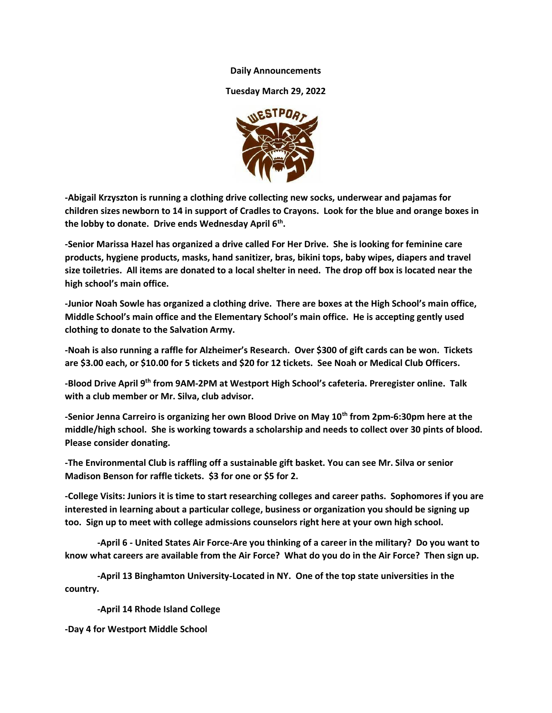## **Daily Announcements**

**Tuesday March 29, 2022**



**-Abigail Krzyszton is running a clothing drive collecting new socks, underwear and pajamas for children sizes newborn to 14 in support of Cradles to Crayons. Look for the blue and orange boxes in the lobby to donate. Drive ends Wednesday April 6th .**

**-Senior Marissa Hazel has organized a drive called For Her Drive. She is looking for feminine care products, hygiene products, masks, hand sanitizer, bras, bikini tops, baby wipes, diapers and travel size toiletries. All items are donated to a local shelter in need. The drop off box is located near the high school's main office.**

**-Junior Noah Sowle has organized a clothing drive. There are boxes at the High School's main office, Middle School's main office and the Elementary School's main office. He is accepting gently used clothing to donate to the Salvation Army.**

**-Noah is also running a raffle for Alzheimer's Research. Over \$300 of gift cards can be won. Tickets are \$3.00 each, or \$10.00 for 5 tickets and \$20 for 12 tickets. See Noah or Medical Club Officers.**

**-Blood Drive April 9th from 9AM-2PM at Westport High School's cafeteria. Preregister online. Talk with a club member or Mr. Silva, club advisor.**

**-Senior Jenna Carreiro is organizing her own Blood Drive on May 10th from 2pm-6:30pm here at the middle/high school. She is working towards a scholarship and needs to collect over 30 pints of blood. Please consider donating.**

**-The Environmental Club is raffling off a sustainable gift basket. You can see Mr. Silva or senior Madison Benson for raffle tickets. \$3 for one or \$5 for 2.**

**-College Visits: Juniors it is time to start researching colleges and career paths. Sophomores if you are interested in learning about a particular college, business or organization you should be signing up too. Sign up to meet with college admissions counselors right here at your own high school.**

**-April 6 - United States Air Force-Are you thinking of a career in the military? Do you want to know what careers are available from the Air Force? What do you do in the Air Force? Then sign up.**

**-April 13 Binghamton University-Located in NY. One of the top state universities in the country.**

**-April 14 Rhode Island College**

**-Day 4 for Westport Middle School**